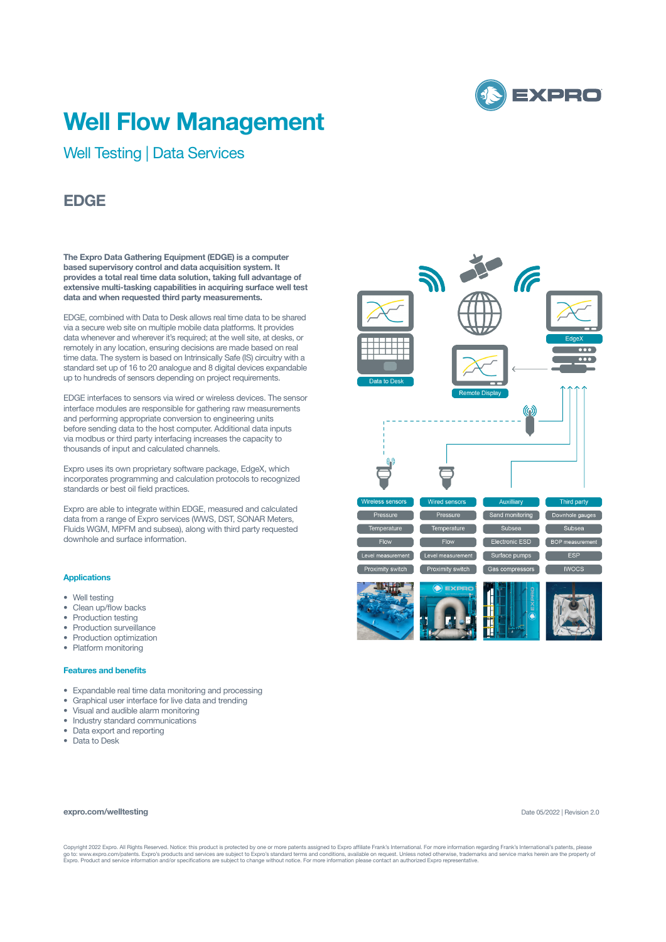

# **Well Flow Management**

Well Testing | Data Services

# **EDGE**

**The Expro Data Gathering Equipment (EDGE) is a computer based supervisory control and data acquisition system. It provides a total real time data solution, taking full advantage of extensive multi-tasking capabilities in acquiring surface well test data and when requested third party measurements.** 

EDGE, combined with Data to Desk allows real time data to be shared via a secure web site on multiple mobile data platforms. It provides data whenever and wherever it's required; at the well site, at desks, or remotely in any location, ensuring decisions are made based on real time data. The system is based on Intrinsically Safe (IS) circuitry with a standard set up of 16 to 20 analogue and 8 digital devices expandable up to hundreds of sensors depending on project requirements.

EDGE interfaces to sensors via wired or wireless devices. The sensor interface modules are responsible for gathering raw measurements and performing appropriate conversion to engineering units before sending data to the host computer. Additional data inputs via modbus or third party interfacing increases the capacity to thousands of input and calculated channels.

Expro uses its own proprietary software package, EdgeX, which incorporates programming and calculation protocols to recognized standards or best oil field practices.

Expro are able to integrate within EDGE, measured and calculated data from a range of Expro services (WWS, DST, SONAR Meters, Fluids WGM. MPFM and subsea), along with third party requested downhole and surface information.

#### **Applications**

- Well testing
- Clean up/flow backs
- Production testing
- Production surveillance
- Production optimization
- Platform monitoring

#### **Features and benefits**

- Expandable real time data monitoring and processing
- Graphical user interface for live data and trending
- Visual and audible alarm monitoring
- Industry standard communications
- Data export and reporting
- Data to Desk

## **expro.com/welltesting**



Copyright 2022 Expro. All Rights Reserved. Notice: this product is protected by one or more patents assigned to Expro affiliate Frank's International. For more information regarding Frank's International's patents, please<br>